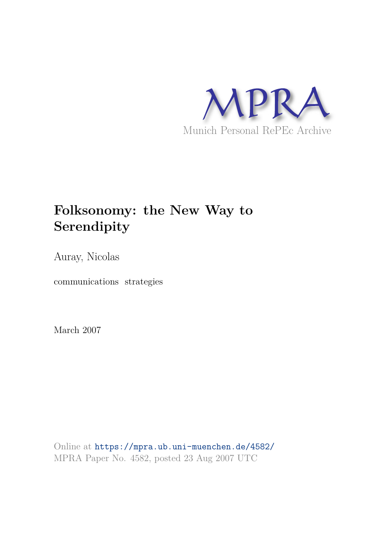

# **Folksonomy: the New Way to Serendipity**

Auray, Nicolas

communications strategies

March 2007

Online at https://mpra.ub.uni-muenchen.de/4582/ MPRA Paper No. 4582, posted 23 Aug 2007 UTC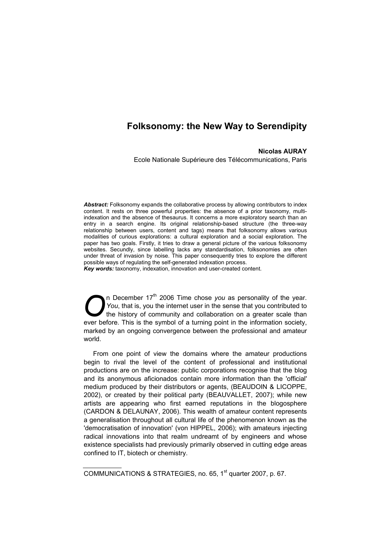# **Folksonomy: the New Way to Serendipity**

# **Nicolas AURAY**

Ecole Nationale Supérieure des Télécommunications, Paris

*Abstract:* Folksonomy expands the collaborative process by allowing contributors to index content. It rests on three powerful properties: the absence of a prior taxonomy, multiindexation and the absence of thesaurus. It concerns a more exploratory search than an entry in a search engine. Its original relationship-based structure (the three-way relationship between users, content and tags) means that folksonomy allows various modalities of curious explorations: a cultural exploration and a social exploration. The paper has two goals. Firstly, it tries to draw a general picture of the various folksonomy websites. Secundly, since labelling lacks any standardisation, folksonomies are often under threat of invasion by noise. This paper consequently tries to explore the different possible ways of regulating the self-generated indexation process.

*Key words:* taxonomy, indexation, innovation and user-created content.

n December 17<sup>th</sup> 2006 Time chose *you* as personality of the year. *You*, that is, you the internet user in the sense that you contributed to the history of community and collaboration on a greater scale than ever before. This is the symbol of a turning point in the information society, marked by an ongoing convergence between the professional and amateur world. O

From one point of view the domains where the amateur productions begin to rival the level of the content of professional and institutional productions are on the increase: public corporations recognise that the blog and its anonymous aficionados contain more information than the 'official' medium produced by their distributors or agents, (BEAUDOIN & LICOPPE, 2002), or created by their political party (BEAUVALLET, 2007); while new artists are appearing who first earned reputations in the blogosphere (CARDON & DELAUNAY, 2006). This wealth of amateur content represents a generalisation throughout all cultural life of the phenomenon known as the 'democratisation of innovation' (von HIPPEL, 2006); with amateurs injecting radical innovations into that realm undreamt of by engineers and whose existence specialists had previously primarily observed in cutting edge areas confined to IT, biotech or chemistry.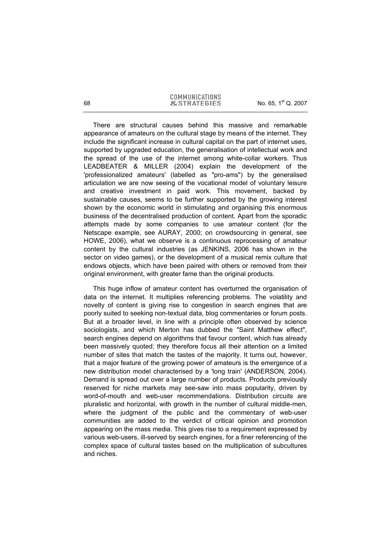There are structural causes behind this massive and remarkable appearance of amateurs on the cultural stage by means of the internet. They include the significant increase in cultural capital on the part of internet uses, supported by upgraded education, the generalisation of intellectual work and the spread of the use of the internet among white-collar workers. Thus LEADBEATER & MILLER (2004) explain the development of the 'professionalized amateurs' (labelled as "pro-ams") by the generalised articulation we are now seeing of the vocational model of voluntary leisure and creative investment in paid work. This movement, backed by sustainable causes, seems to be further supported by the growing interest shown by the economic world in stimulating and organising this enormous business of the decentralised production of content. Apart from the sporadic attempts made by some companies to use amateur content (for the Netscape example, see AURAY, 2000; on crowdsourcing in general, see HOWE, 2006), what we observe is a continuous reprocessing of amateur content by the cultural industries (as JENKINS, 2006 has shown in the sector on video games), or the development of a musical remix culture that endows objects, which have been paired with others or removed from their original environment, with greater fame than the original products.

This huge inflow of amateur content has overturned the organisation of data on the internet. It multiplies referencing problems. The volatility and novelty of content is giving rise to congestion in search engines that are poorly suited to seeking non-textual data, blog commentaries or forum posts. But at a broader level, in line with a principle often observed by science sociologists, and which Merton has dubbed the "Saint Matthew effect", search engines depend on algorithms that favour content, which has already been massively quoted; they therefore focus all their attention on a limited number of sites that match the tastes of the majority. It turns out, however, that a major feature of the growing power of amateurs is the emergence of a new distribution model characterised by a 'long train' (ANDERSON, 2004). Demand is spread out over a large number of products. Products previously reserved for niche markets may see-saw into mass popularity, driven by word-of-mouth and web-user recommendations. Distribution circuits are pluralistic and horizontal, with growth in the number of cultural middle-men, where the judgment of the public and the commentary of web-user communities are added to the verdict of critical opinion and promotion appearing on the mass media. This gives rise to a requirement expressed by various web-users, ill-served by search engines, for a finer referencing of the complex space of cultural tastes based on the multiplication of subcultures and niches.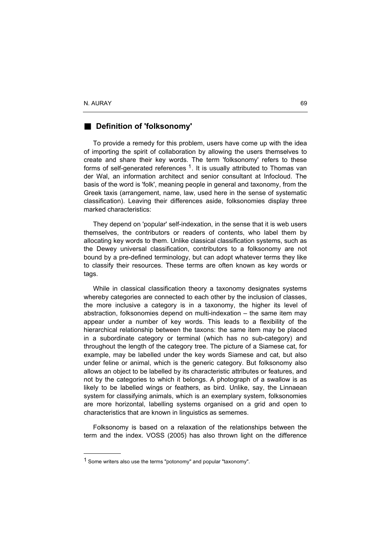l

## **B** Definition of 'folksonomy'

To provide a remedy for this problem, users have come up with the idea of importing the spirit of collaboration by allowing the users themselves to create and share their key words. The term 'folksonomy' refers to these forms of self-generated references  $1$ . It is usually attributed to Thomas van der Wal, an information architect and senior consultant at Infocloud. The basis of the word is 'folk', meaning people in general and taxonomy, from the Greek taxis (arrangement, name, law, used here in the sense of systematic classification). Leaving their differences aside, folksonomies display three marked characteristics:

They depend on 'popular' self-indexation, in the sense that it is web users themselves, the contributors or readers of contents, who label them by allocating key words to them. Unlike classical classification systems, such as the Dewey universal classification, contributors to a folksonomy are not bound by a pre-defined terminology, but can adopt whatever terms they like to classify their resources. These terms are often known as key words or tags.

While in classical classification theory a taxonomy designates systems whereby categories are connected to each other by the inclusion of classes, the more inclusive a category is in a taxonomy, the higher its level of abstraction, folksonomies depend on multi-indexation – the same item may appear under a number of key words. This leads to a flexibility of the hierarchical relationship between the taxons: the same item may be placed in a subordinate category or terminal (which has no sub-category) and throughout the length of the category tree. The picture of a Siamese cat, for example, may be labelled under the key words Siamese and cat, but also under feline or animal, which is the generic category. But folksonomy also allows an object to be labelled by its characteristic attributes or features, and not by the categories to which it belongs. A photograph of a swallow is as likely to be labelled wings or feathers, as bird. Unlike, say, the Linnaean system for classifying animals, which is an exemplary system, folksonomies are more horizontal, labelling systems organised on a grid and open to characteristics that are known in linguistics as sememes.

Folksonomy is based on a relaxation of the relationships between the term and the index. VOSS (2005) has also thrown light on the difference

<sup>&</sup>lt;sup>1</sup> Some writers also use the terms "potonomy" and popular "taxonomy".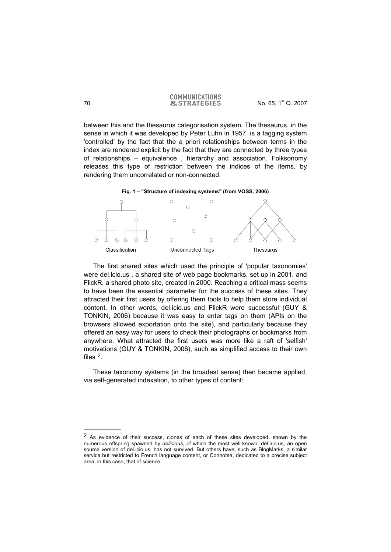between this and the thesaurus categorisation system. The thesaurus, in the sense in which it was developed by Peter Luhn in 1957, is a tagging system 'controlled' by the fact that the a priori relationships between terms in the index are rendered explicit by the fact that they are connected by three types of relationships – equivalence , hierarchy and association. Folksonomy releases this type of restriction between the indices of the items, by rendering them uncorrelated or non-connected.



The first shared sites which used the principle of 'popular taxonomies' were del.icio.us , a shared site of web page bookmarks, set up in 2001, and FlickR, a shared photo site, created in 2000. Reaching a critical mass seems to have been the essential parameter for the success of these sites. They attracted their first users by offering them tools to help them store individual content. In other words, del.icio.us and FlickR were successful (GUY & TONKIN, 2006) because it was easy to enter tags on them (APIs on the browsers allowed exportation onto the site), and particularly because they offered an easy way for users to check their photographs or bookmarks from anywhere. What attracted the first users was more like a raft of 'selfish' motivations (GUY & TONKIN, 2006), such as simplified access to their own files 2.

These taxonomy systems (in the broadest sense) then became applied, via self-generated indexation, to other types of content:

j

<sup>&</sup>lt;sup>2</sup> As evidence of their success, clones of each of these sites developed, shown by the numerous offspring spawned by *delicious*, of which the most well-known, del.irio.us, an open source version of del.icio.us, has not survived. But others have, such as BlogMarks, a similar service but restricted to French language content, or Connotea, dedicated to a precise subject area, in this case, that of science.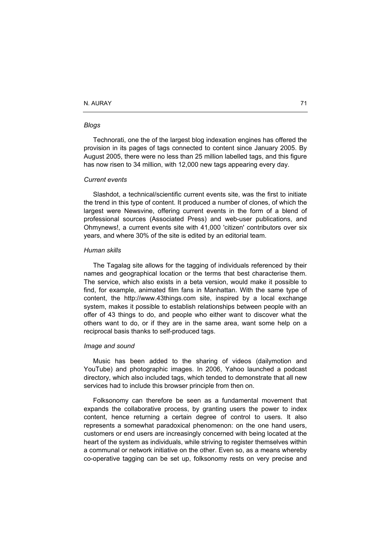#### *Blogs*

Technorati, one the of the largest blog indexation engines has offered the provision in its pages of tags connected to content since January 2005. By August 2005, there were no less than 25 million labelled tags, and this figure has now risen to 34 million, with 12,000 new tags appearing every day.

#### *Current events*

Slashdot, a technical/scientific current events site, was the first to initiate the trend in this type of content. It produced a number of clones, of which the largest were Newsvine, offering current events in the form of a blend of professional sources (Associated Press) and web-user publications, and Ohmynews!, a current events site with 41,000 'citizen' contributors over six years, and where 30% of the site is edited by an editorial team.

#### *Human skills*

The Tagalag site allows for the tagging of individuals referenced by their names and geographical location or the terms that best characterise them. The service, which also exists in a beta version, would make it possible to find, for example, animated film fans in Manhattan. With the same type of content, the http://www.43things.com site, inspired by a local exchange system, makes it possible to establish relationships between people with an offer of 43 things to do, and people who either want to discover what the others want to do, or if they are in the same area, want some help on a reciprocal basis thanks to self-produced tags.

#### *Image and sound*

Music has been added to the sharing of videos (dailymotion and YouTube) and photographic images. In 2006, Yahoo launched a podcast directory, which also included tags, which tended to demonstrate that all new services had to include this browser principle from then on.

Folksonomy can therefore be seen as a fundamental movement that expands the collaborative process, by granting users the power to index content, hence returning a certain degree of control to users. It also represents a somewhat paradoxical phenomenon: on the one hand users, customers or end users are increasingly concerned with being located at the heart of the system as individuals, while striving to register themselves within a communal or network initiative on the other. Even so, as a means whereby co-operative tagging can be set up, folksonomy rests on very precise and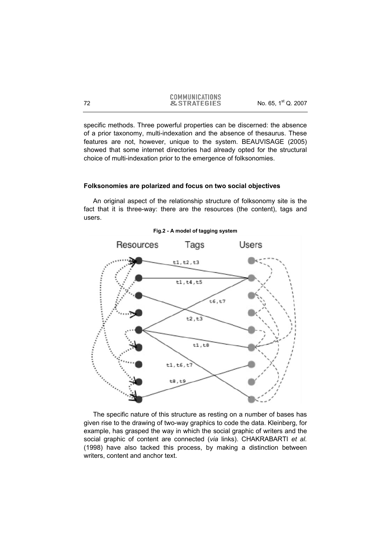specific methods. Three powerful properties can be discerned: the absence of a prior taxonomy, multi-indexation and the absence of thesaurus. These features are not, however, unique to the system. BEAUVISAGE (2005) showed that some internet directories had already opted for the structural choice of multi-indexation prior to the emergence of folksonomies.

#### **Folksonomies are polarized and focus on two social objectives**

An original aspect of the relationship structure of folksonomy site is the fact that it is three-way: there are the resources (the content), tags and users.



**Fig.2 - A model of tagging system** 

The specific nature of this structure as resting on a number of bases has given rise to the drawing of two-way graphics to code the data. Kleinberg, for example, has grasped the way in which the social graphic of writers and the social graphic of content are connected (*via* links). CHAKRABARTI *et al.* (1998) have also tacked this process, by making a distinction between writers, content and anchor text.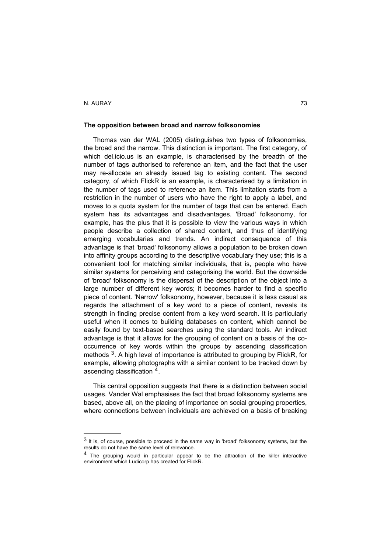-

#### **The opposition between broad and narrow folksonomies**

Thomas van der WAL (2005) distinguishes two types of folksonomies, the broad and the narrow. This distinction is important. The first category, of which del.icio.us is an example, is characterised by the breadth of the number of tags authorised to reference an item, and the fact that the user may re-allocate an already issued tag to existing content. The second category, of which FlickR is an example, is characterised by a limitation in the number of tags used to reference an item. This limitation starts from a restriction in the number of users who have the right to apply a label, and moves to a quota system for the number of tags that can be entered. Each system has its advantages and disadvantages. 'Broad' folksonomy, for example, has the plus that it is possible to view the various ways in which people describe a collection of shared content, and thus of identifying emerging vocabularies and trends. An indirect consequence of this advantage is that 'broad' folksonomy allows a population to be broken down into affinity groups according to the descriptive vocabulary they use; this is a convenient tool for matching similar individuals, that is, people who have similar systems for perceiving and categorising the world. But the downside of 'broad' folksonomy is the dispersal of the description of the object into a large number of different key words; it becomes harder to find a specific piece of content. 'Narrow' folksonomy, however, because it is less casual as regards the attachment of a key word to a piece of content, reveals its strength in finding precise content from a key word search. It is particularly useful when it comes to building databases on content, which cannot be easily found by text-based searches using the standard tools. An indirect advantage is that it allows for the grouping of content on a basis of the cooccurrence of key words within the groups by ascending classification methods  $3$ . A high level of importance is attributed to grouping by FlickR, for example, allowing photographs with a similar content to be tracked down by ascending classification <sup>4</sup>.

This central opposition suggests that there is a distinction between social usages. Vander Wal emphasises the fact that broad folksonomy systems are based, above all, on the placing of importance on social grouping properties, where connections between individuals are achieved on a basis of breaking

<sup>3</sup> It is, of course, possible to proceed in the same way in 'broad' folksonomy systems, but the results do not have the same level of relevance.

<sup>4</sup> The grouping would in particular appear to be the attraction of the killer interactive environment which Ludicorp has created for FlickR.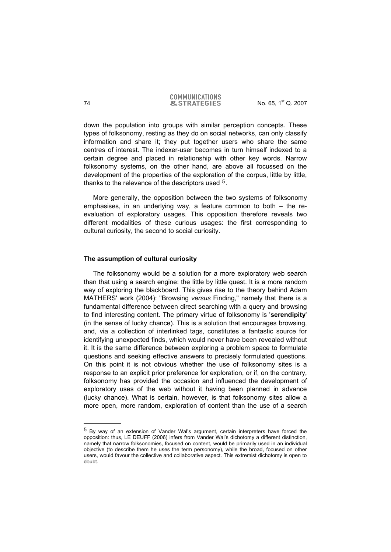down the population into groups with similar perception concepts. These types of folksonomy, resting as they do on social networks, can only classify information and share it; they put together users who share the same centres of interest. The indexer-user becomes in turn himself indexed to a certain degree and placed in relationship with other key words. Narrow folksonomy systems, on the other hand, are above all focussed on the development of the properties of the exploration of the corpus, little by little, thanks to the relevance of the descriptors used <sup>5</sup>.

More generally, the opposition between the two systems of folksonomy emphasises, in an underlying way, a feature common to both – the reevaluation of exploratory usages. This opposition therefore reveals two different modalities of these curious usages: the first corresponding to cultural curiosity, the second to social curiosity.

#### **The assumption of cultural curiosity**

The folksonomy would be a solution for a more exploratory web search than that using a search engine: the little by little quest. It is a more random way of exploring the blackboard. This gives rise to the theory behind Adam MATHERS' work (2004): "Browsing *versus* Finding," namely that there is a fundamental difference between direct searching with a query and browsing to find interesting content. The primary virtue of folksonomy is '**serendipity**' (in the sense of lucky chance). This is a solution that encourages browsing, and, via a collection of interlinked tags, constitutes a fantastic source for identifying unexpected finds, which would never have been revealed without it. It is the same difference between exploring a problem space to formulate questions and seeking effective answers to precisely formulated questions. On this point it is not obvious whether the use of folksonomy sites is a response to an explicit prior preference for exploration, or if, on the contrary, folksonomy has provided the occasion and influenced the development of exploratory uses of the web without it having been planned in advance (lucky chance). What is certain, however, is that folksonomy sites allow a more open, more random, exploration of content than the use of a search

-

<sup>5</sup> By way of an extension of Vander Wal's argument, certain interpreters have forced the opposition: thus, LE DEUFF (2006) infers from Vander Wal's dichotomy a different distinction, namely that narrow folksonomies, focused on content, would be primarily used in an individual objective (to describe them he uses the term personomy), while the broad, focused on other users, would favour the collective and collaborative aspect. This extremist dichotomy is open to doubt.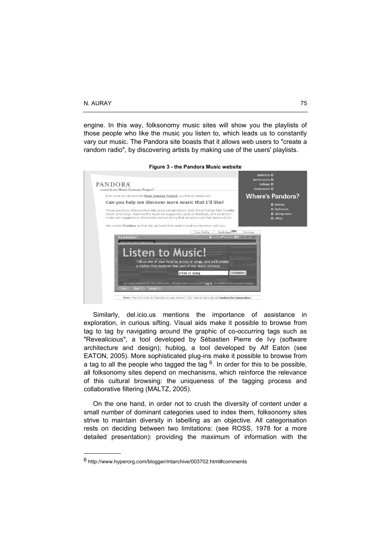engine. In this way, folksonomy music sites will show you the playlists of those people who like the music you listen to, which leads us to constantly vary our music. The Pandora site boasts that it allows web users to "create a random radio", by discovering artists by making use of the users' playlists.

| PANDORA                                                                                                                                                                                                                                                                   | bedroom M<br>family room E<br>hallway D            |
|---------------------------------------------------------------------------------------------------------------------------------------------------------------------------------------------------------------------------------------------------------------------------|----------------------------------------------------|
| created by the Music Genome Project"                                                                                                                                                                                                                                      | living room D                                      |
| Ever since we started the Music Genome Project, our friends would ask:                                                                                                                                                                                                    | <b>Where's Pandora?</b>                            |
| Can you help me discover more music that I'll like?                                                                                                                                                                                                                       | <b>E</b> kitchen                                   |
| Those questions often evolved into great conversations. Each friend told us their favorite<br>artists and songs, explored the music we suggested, gave us feedback, and we in turn<br>made new suggestions. Everybody started joking that we were now their personal DJs. | $E$ bathroom<br>$E$ dining room<br>$\Gamma$ office |
| We created Pandora so that we can have that same kind of conversation with you.                                                                                                                                                                                           |                                                    |
| Backstage <sup>(III)</sup><br>Your Profile                                                                                                                                                                                                                                | Minimize                                           |
| PANDORA <sup>®</sup><br>(5)                                                                                                                                                                                                                                               | $\mathbf{F}$ $\mathbf{H}$ $\mathbf{H}$             |
|                                                                                                                                                                                                                                                                           |                                                    |
| Listen to Music!                                                                                                                                                                                                                                                          |                                                    |
| Tell us one of your favorite artists or songs, and we'll create<br>a station that explores that part of the music universe.                                                                                                                                               |                                                    |
| artist or song                                                                                                                                                                                                                                                            | create                                             |
|                                                                                                                                                                                                                                                                           |                                                    |
| No log-in required for first-time users. Already have an account? Log-in to retrieve your custom stations.<br>Help A   Share A   Account A                                                                                                                                |                                                    |

#### **Figure 3 - the Pandora Music website**

Similarly, del.icio.us mentions the importance of assistance in exploration, in curious sifting. Visual aids make it possible to browse from tag to tag by navigating around the graphic of co-occurring tags such as "Revealicious", a tool developed by Sébastien Pierre de Ivy (software architecture and design); hublog, a tool developed by Alf Eaton (see EATON, 2005). More sophisticated plug-ins make it possible to browse from a tag to all the people who tagged the tag  $6$ . In order for this to be possible, all folksonomy sites depend on mechanisms, which reinforce the relevance of this cultural browsing: the uniqueness of the tagging process and collaborative filtering (MALTZ, 2005).

On the one hand, in order not to crush the diversity of content under a small number of dominant categories used to index them, folksonomy sites strive to maintain diversity in labelling as an objective. All categorisation rests on deciding between two limitations: (see ROSS, 1978 for a more detailed presentation): providing the maximum of information with the

<sup>6</sup> http://www.hyperorg.com/blogger/mtarchive/003702.html#comments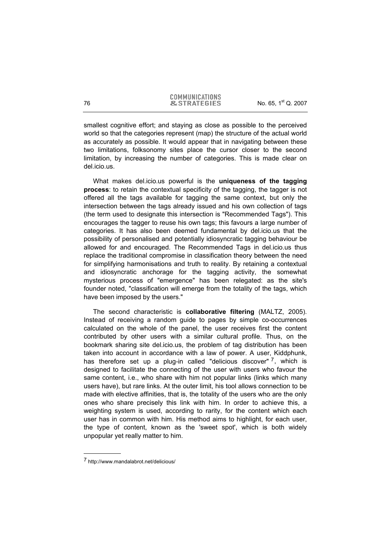smallest cognitive effort; and staying as close as possible to the perceived world so that the categories represent (map) the structure of the actual world as accurately as possible. It would appear that in navigating between these two limitations, folksonomy sites place the cursor closer to the second limitation, by increasing the number of categories. This is made clear on del.icio.us.

What makes del.icio.us powerful is the **uniqueness of the tagging process**: to retain the contextual specificity of the tagging, the tagger is not offered all the tags available for tagging the same context, but only the intersection between the tags already issued and his own collection of tags (the term used to designate this intersection is "Recommended Tags"). This encourages the tagger to reuse his own tags; this favours a large number of categories. It has also been deemed fundamental by del.icio.us that the possibility of personalised and potentially idiosyncratic tagging behaviour be allowed for and encouraged. The Recommended Tags in del.icio.us thus replace the traditional compromise in classification theory between the need for simplifying harmonisations and truth to reality. By retaining a contextual and idiosyncratic anchorage for the tagging activity, the somewhat mysterious process of "emergence" has been relegated: as the site's founder noted, "classification will emerge from the totality of the tags, which have been imposed by the users."

The second characteristic is **collaborative filtering** (MALTZ, 2005). Instead of receiving a random guide to pages by simple co-occurrences calculated on the whole of the panel, the user receives first the content contributed by other users with a similar cultural profile. Thus, on the bookmark sharing site del.icio.us, the problem of tag distribution has been taken into account in accordance with a law of power. A user, Kiddphunk, has therefore set up a plug-in called "delicious discover"  $^7$ , which is designed to facilitate the connecting of the user with users who favour the same content, i.e., who share with him not popular links (links which many users have), but rare links. At the outer limit, his tool allows connection to be made with elective affinities, that is, the totality of the users who are the only ones who share precisely this link with him. In order to achieve this, a weighting system is used, according to rarity, for the content which each user has in common with him. His method aims to highlight, for each user, the type of content, known as the 'sweet spot', which is both widely unpopular yet really matter to him.

<sup>7</sup> http://www.mandalabrot.net/delicious/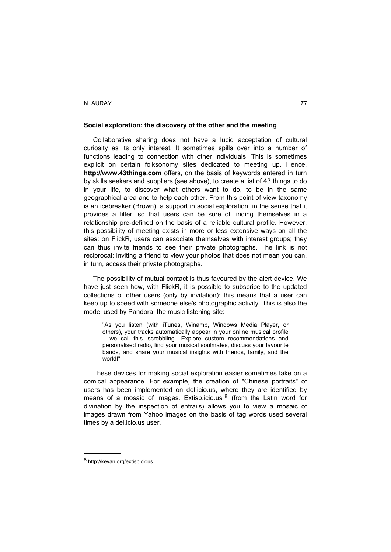#### **Social exploration: the discovery of the other and the meeting**

Collaborative sharing does not have a lucid acceptation of cultural curiosity as its only interest. It sometimes spills over into a number of functions leading to connection with other individuals. This is sometimes explicit on certain folksonomy sites dedicated to meeting up. Hence, **http://www.43things.com** offers, on the basis of keywords entered in turn by skills seekers and suppliers (see above), to create a list of 43 things to do in your life, to discover what others want to do, to be in the same geographical area and to help each other. From this point of view taxonomy is an icebreaker (Brown), a support in social exploration, in the sense that it provides a filter, so that users can be sure of finding themselves in a relationship pre-defined on the basis of a reliable cultural profile. However, this possibility of meeting exists in more or less extensive ways on all the sites: on FlickR, users can associate themselves with interest groups; they can thus invite friends to see their private photographs. The link is not reciprocal: inviting a friend to view your photos that does not mean you can, in turn, access their private photographs.

The possibility of mutual contact is thus favoured by the alert device. We have just seen how, with FlickR, it is possible to subscribe to the updated collections of other users (only by invitation): this means that a user can keep up to speed with someone else's photographic activity. This is also the model used by Pandora, the music listening site:

"As you listen (with iTunes, Winamp, Windows Media Player, or others), your tracks automatically appear in your online musical profile – we call this 'scrobbling'. Explore custom recommendations and personalised radio, find your musical soulmates, discuss your favourite bands, and share your musical insights with friends, family, and the world!"

These devices for making social exploration easier sometimes take on a comical appearance. For example, the creation of "Chinese portraits" of users has been implemented on del.icio.us, where they are identified by means of a mosaic of images. Extisp.icio.us  $8$  (from the Latin word for divination by the inspection of entrails) allows you to view a mosaic of images drawn from Yahoo images on the basis of tag words used several times by a del.icio.us user.

<sup>8</sup> http://kevan.org/extispicious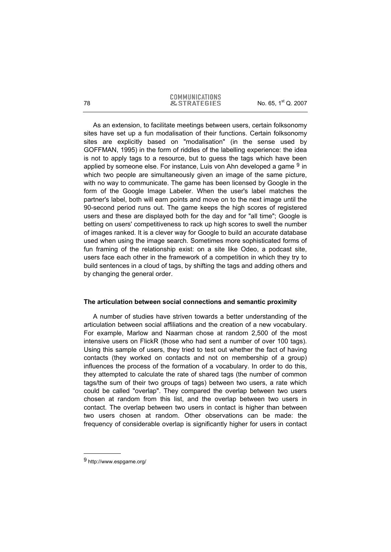As an extension, to facilitate meetings between users, certain folksonomy sites have set up a fun modalisation of their functions. Certain folksonomy sites are explicitly based on "modalisation" (in the sense used by GOFFMAN, 1995) in the form of riddles of the labelling experience: the idea is not to apply tags to a resource, but to guess the tags which have been applied by someone else. For instance, Luis von Ahn developed a game  $9$  in which two people are simultaneously given an image of the same picture, with no way to communicate. The game has been licensed by Google in the form of the Google Image Labeler. When the user's label matches the partner's label, both will earn points and move on to the next image until the 90-second period runs out. The game keeps the high scores of registered users and these are displayed both for the day and for "all time"; Google is betting on users' competitiveness to rack up high scores to swell the number of images ranked. It is a clever way for Google to build an accurate database used when using the image search. Sometimes more sophisticated forms of fun framing of the relationship exist: on a site like Odeo, a podcast site, users face each other in the framework of a competition in which they try to build sentences in a cloud of tags, by shifting the tags and adding others and by changing the general order.

## **The articulation between social connections and semantic proximity**

A number of studies have striven towards a better understanding of the articulation between social affiliations and the creation of a new vocabulary. For example, Marlow and Naarman chose at random 2,500 of the most intensive users on FlickR (those who had sent a number of over 100 tags). Using this sample of users, they tried to test out whether the fact of having contacts (they worked on contacts and not on membership of a group) influences the process of the formation of a vocabulary. In order to do this, they attempted to calculate the rate of shared tags (the number of common tags/the sum of their two groups of tags) between two users, a rate which could be called "overlap". They compared the overlap between two users chosen at random from this list, and the overlap between two users in contact. The overlap between two users in contact is higher than between two users chosen at random. Other observations can be made: the frequency of considerable overlap is significantly higher for users in contact

<sup>9</sup> http://www.espgame.org/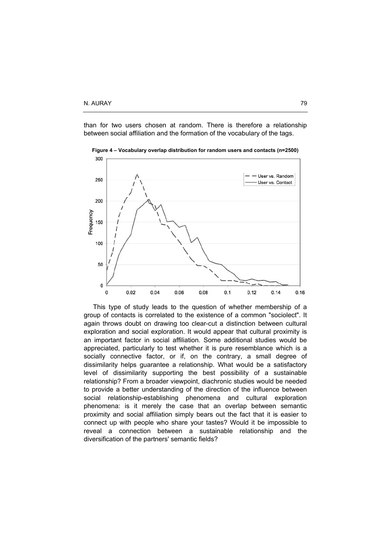than for two users chosen at random. There is therefore a relationship between social affiliation and the formation of the vocabulary of the tags.



**Figure 4 – Vocabulary overlap distribution for random users and contacts (n=2500)** 

This type of study leads to the question of whether membership of a group of contacts is correlated to the existence of a common "sociolect". It again throws doubt on drawing too clear-cut a distinction between cultural exploration and social exploration. It would appear that cultural proximity is an important factor in social affiliation. Some additional studies would be appreciated, particularly to test whether it is pure resemblance which is a socially connective factor, or if, on the contrary, a small degree of dissimilarity helps guarantee a relationship. What would be a satisfactory level of dissimilarity supporting the best possibility of a sustainable relationship? From a broader viewpoint, diachronic studies would be needed to provide a better understanding of the direction of the influence between social relationship-establishing phenomena and cultural exploration phenomena: is it merely the case that an overlap between semantic proximity and social affiliation simply bears out the fact that it is easier to connect up with people who share your tastes? Would it be impossible to reveal a connection between a sustainable relationship and the diversification of the partners' semantic fields?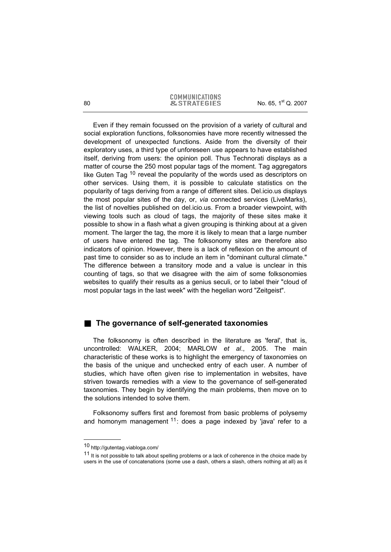Even if they remain focussed on the provision of a variety of cultural and social exploration functions, folksonomies have more recently witnessed the development of unexpected functions. Aside from the diversity of their exploratory uses, a third type of unforeseen use appears to have established itself, deriving from users: the opinion poll. Thus Technorati displays as a matter of course the 250 most popular tags of the moment. Tag aggregators like Guten Tag <sup>10</sup> reveal the popularity of the words used as descriptors on other services. Using them, it is possible to calculate statistics on the popularity of tags deriving from a range of different sites. Del.icio.us displays the most popular sites of the day, or, *via* connected services (LiveMarks), the list of novelties published on del.icio.us. From a broader viewpoint, with viewing tools such as cloud of tags, the majority of these sites make it possible to show in a flash what a given grouping is thinking about at a given moment. The larger the tag, the more it is likely to mean that a large number of users have entered the tag. The folksonomy sites are therefore also indicators of opinion. However, there is a lack of reflexion on the amount of past time to consider so as to include an item in "dominant cultural climate." The difference between a transitory mode and a value is unclear in this counting of tags, so that we disagree with the aim of some folksonomies websites to qualify their results as a genius seculi, or to label their "cloud of most popular tags in the last week" with the hegelian word "Zeitgeist".

# **The governance of self-generated taxonomies**

The folksonomy is often described in the literature as 'feral', that is, uncontrolled: WALKER, 2004; MARLOW *et al*., 2005. The main characteristic of these works is to highlight the emergency of taxonomies on the basis of the unique and unchecked entry of each user. A number of studies, which have often given rise to implementation in websites, have striven towards remedies with a view to the governance of self-generated taxonomies. They begin by identifying the main problems, then move on to the solutions intended to solve them.

Folksonomy suffers first and foremost from basic problems of polysemy and homonym management  $11$ : does a page indexed by 'java' refer to a

j

<sup>10</sup> http://gutentag.viabloga.com/

 $11$  It is not possible to talk about spelling problems or a lack of coherence in the choice made by users in the use of concatenations (some use a dash, others a slash, others nothing at all) as it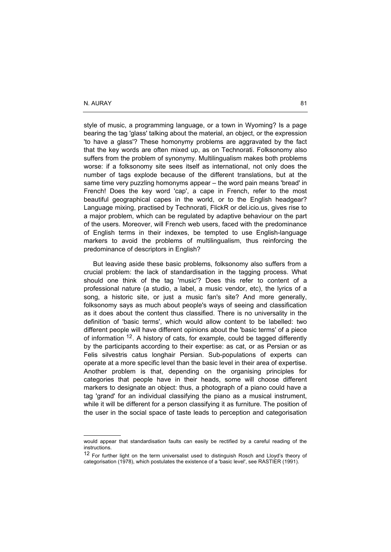-

style of music, a programming language, or a town in Wyoming? Is a page bearing the tag 'glass' talking about the material, an object, or the expression 'to have a glass'? These homonymy problems are aggravated by the fact that the key words are often mixed up, as on Technorati. Folksonomy also suffers from the problem of synonymy. Multilingualism makes both problems worse: if a folksonomy site sees itself as international, not only does the number of tags explode because of the different translations, but at the same time very puzzling homonyms appear – the word pain means 'bread' in French! Does the key word 'cap', a cape in French, refer to the most beautiful geographical capes in the world, or to the English headgear? Language mixing, practised by Technorati, FlickR or del.icio.us, gives rise to a major problem, which can be regulated by adaptive behaviour on the part of the users. Moreover, will French web users, faced with the predominance of English terms in their indexes, be tempted to use English-language markers to avoid the problems of multilingualism, thus reinforcing the predominance of descriptors in English?

But leaving aside these basic problems, folksonomy also suffers from a crucial problem: the lack of standardisation in the tagging process. What should one think of the tag 'music'? Does this refer to content of a professional nature (a studio, a label, a music vendor, etc), the lyrics of a song, a historic site, or just a music fan's site? And more generally, folksonomy says as much about people's ways of seeing and classification as it does about the content thus classified. There is no universality in the definition of 'basic terms', which would allow content to be labelled: two different people will have different opinions about the 'basic terms' of a piece of information <sup>12</sup>. A history of cats, for example, could be tagged differently by the participants according to their expertise: as cat, or as Persian or as Felis silvestris catus longhair Persian. Sub-populations of experts can operate at a more specific level than the basic level in their area of expertise. Another problem is that, depending on the organising principles for categories that people have in their heads, some will choose different markers to designate an object: thus, a photograph of a piano could have a tag 'grand' for an individual classifying the piano as a musical instrument, while it will be different for a person classifying it as furniture. The position of the user in the social space of taste leads to perception and categorisation

would appear that standardisation faults can easily be rectified by a careful reading of the instructions.

<sup>&</sup>lt;sup>12</sup> For further light on the term universalist used to distinguish Rosch and Lloyd's theory of categorisation (1978), which postulates the existence of a 'basic level', see RASTIER (1991).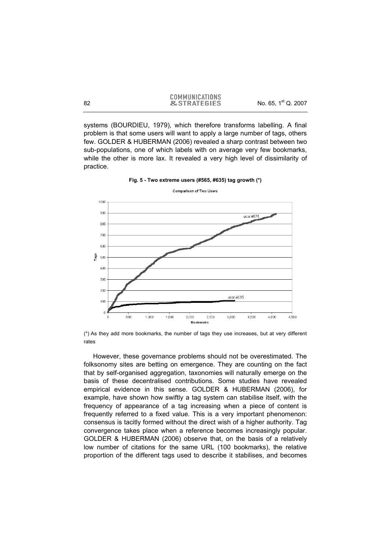systems (BOURDIEU, 1979), which therefore transforms labelling. A final problem is that some users will want to apply a large number of tags, others few. GOLDER & HUBERMAN (2006) revealed a sharp contrast between two sub-populations, one of which labels with on average very few bookmarks, while the other is more lax. It revealed a very high level of dissimilarity of practice.



**Fig. 5 - Two extreme users (#565, #635) tag growth (\*)** 

However, these governance problems should not be overestimated. The folksonomy sites are betting on emergence. They are counting on the fact that by self-organised aggregation, taxonomies will naturally emerge on the basis of these decentralised contributions. Some studies have revealed empirical evidence in this sense. GOLDER & HUBERMAN (2006), for example, have shown how swiftly a tag system can stabilise itself, with the frequency of appearance of a tag increasing when a piece of content is frequently referred to a fixed value. This is a very important phenomenon: consensus is tacitly formed without the direct wish of a higher authority. Tag convergence takes place when a reference becomes increasingly popular. GOLDER & HUBERMAN (2006) observe that, on the basis of a relatively low number of citations for the same URL (100 bookmarks), the relative proportion of the different tags used to describe it stabilises, and becomes

<sup>(\*)</sup> As they add more bookmarks, the number of tags they use increases, but at very different rates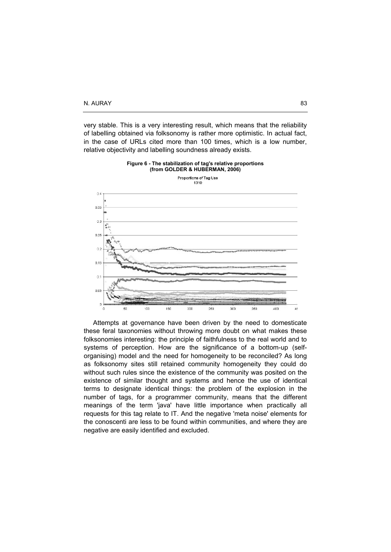very stable. This is a very interesting result, which means that the reliability of labelling obtained via folksonomy is rather more optimistic. In actual fact, in the case of URLs cited more than 100 times, which is a low number, relative objectivity and labelling soundness already exists.





Attempts at governance have been driven by the need to domesticate these feral taxonomies without throwing more doubt on what makes these folksonomies interesting: the principle of faithfulness to the real world and to systems of perception. How are the significance of a bottom-up (selforganising) model and the need for homogeneity to be reconciled? As long as folksonomy sites still retained community homogeneity they could do without such rules since the existence of the community was posited on the existence of similar thought and systems and hence the use of identical terms to designate identical things: the problem of the explosion in the number of tags, for a programmer community, means that the different meanings of the term 'java' have little importance when practically all requests for this tag relate to IT. And the negative 'meta noise' elements for the conoscenti are less to be found within communities, and where they are negative are easily identified and excluded.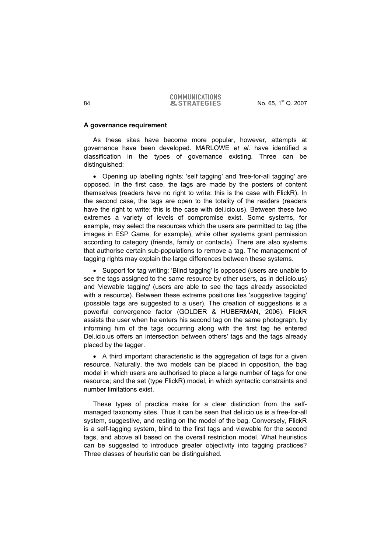#### **A governance requirement**

As these sites have become more popular, however, attempts at governance have been developed. MARLOWE *et al*. have identified a classification in the types of governance existing. Three can be distinguished:

• Opening up labelling rights: 'self tagging' and 'free-for-all tagging' are opposed. In the first case, the tags are made by the posters of content themselves (readers have no right to write: this is the case with FlickR). In the second case, the tags are open to the totality of the readers (readers have the right to write: this is the case with del.icio.us). Between these two extremes a variety of levels of compromise exist. Some systems, for example, may select the resources which the users are permitted to tag (the images in ESP Game, for example), while other systems grant permission according to category (friends, family or contacts). There are also systems that authorise certain sub-populations to remove a tag. The management of tagging rights may explain the large differences between these systems.

• Support for tag writing: 'Blind tagging' is opposed (users are unable to see the tags assigned to the same resource by other users, as in del.icio.us) and 'viewable tagging' (users are able to see the tags already associated with a resource). Between these extreme positions lies 'suggestive tagging' (possible tags are suggested to a user). The creation of suggestions is a powerful convergence factor (GOLDER & HUBERMAN, 2006). FlickR assists the user when he enters his second tag on the same photograph, by informing him of the tags occurring along with the first tag he entered Del.icio.us offers an intersection between others' tags and the tags already placed by the tagger.

• A third important characteristic is the aggregation of tags for a given resource. Naturally, the two models can be placed in opposition, the bag model in which users are authorised to place a large number of tags for one resource; and the set (type FlickR) model, in which syntactic constraints and number limitations exist.

These types of practice make for a clear distinction from the selfmanaged taxonomy sites. Thus it can be seen that del.icio.us is a free-for-all system, suggestive, and resting on the model of the bag. Conversely, FlickR is a self-tagging system, blind to the first tags and viewable for the second tags, and above all based on the overall restriction model. What heuristics can be suggested to introduce greater objectivity into tagging practices? Three classes of heuristic can be distinguished.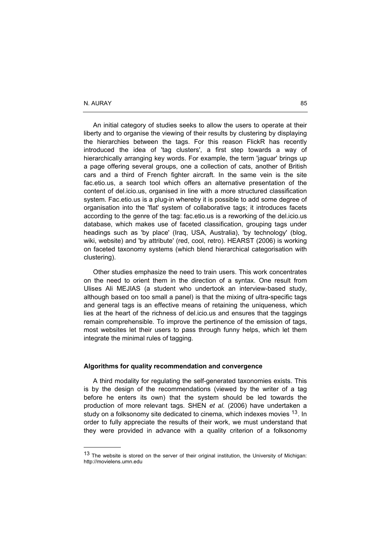-

An initial category of studies seeks to allow the users to operate at their liberty and to organise the viewing of their results by clustering by displaying the hierarchies between the tags. For this reason FlickR has recently introduced the idea of 'tag clusters', a first step towards a way of hierarchically arranging key words. For example, the term 'jaguar' brings up a page offering several groups, one a collection of cats, another of British cars and a third of French fighter aircraft. In the same vein is the site fac.etio.us, a search tool which offers an alternative presentation of the content of del.icio.us, organised in line with a more structured classification system. Fac.etio.us is a plug-in whereby it is possible to add some degree of organisation into the 'flat' system of collaborative tags; it introduces facets according to the genre of the tag: fac.etio.us is a reworking of the del.icio.us database, which makes use of faceted classification, grouping tags under headings such as 'by place' (Iraq, USA, Australia), 'by technology' (blog, wiki, website) and 'by attribute' (red, cool, retro). HEARST (2006) is working on faceted taxonomy systems (which blend hierarchical categorisation with clustering).

Other studies emphasize the need to train users. This work concentrates on the need to orient them in the direction of a syntax. One result from Ulises Ali MEJIAS (a student who undertook an interview-based study, although based on too small a panel) is that the mixing of ultra-specific tags and general tags is an effective means of retaining the uniqueness, which lies at the heart of the richness of del.icio.us and ensures that the taggings remain comprehensible. To improve the pertinence of the emission of tags, most websites let their users to pass through funny helps, which let them integrate the minimal rules of tagging.

#### **Algorithms for quality recommendation and convergence**

A third modality for regulating the self-generated taxonomies exists. This is by the design of the recommendations (viewed by the writer of a tag before he enters its own) that the system should be led towards the production of more relevant tags. SHEN *et al.* (2006) have undertaken a study on a folksonomy site dedicated to cinema, which indexes movies <sup>13</sup>. In order to fully appreciate the results of their work, we must understand that they were provided in advance with a quality criterion of a folksonomy

<sup>&</sup>lt;sup>13</sup> The website is stored on the server of their original institution, the University of Michigan: http://movielens.umn.edu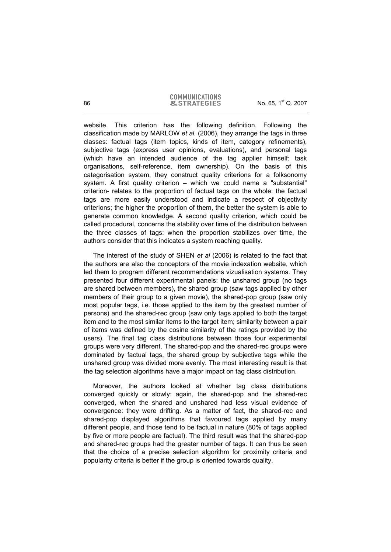#### **COMMUNICATIONS** 86 **86 8. STRATEGIES** No. 65, 1<sup>st</sup> Q. 2007

website. This criterion has the following definition. Following the classification made by MARLOW *et al.* (2006), they arrange the tags in three classes: factual tags (item topics, kinds of item, category refinements), subjective tags (express user opinions, evaluations), and personal tags (which have an intended audience of the tag applier himself: task organisations, self-reference, item ownership). On the basis of this categorisation system, they construct quality criterions for a folksonomy system. A first quality criterion – which we could name a "substantial" criterion- relates to the proportion of factual tags on the whole: the factual tags are more easily understood and indicate a respect of objectivity criterions; the higher the proportion of them, the better the system is able to generate common knowledge. A second quality criterion, which could be called procedural, concerns the stability over time of the distribution between the three classes of tags: when the proportion stabilizes over time, the authors consider that this indicates a system reaching quality.

The interest of the study of SHEN *et al* (2006) is related to the fact that the authors are also the conceptors of the movie indexation website, which led them to program different recommandations vizualisation systems. They presented four different experimental panels: the unshared group (no tags are shared between members), the shared group (saw tags applied by other members of their group to a given movie), the shared-pop group (saw only most popular tags, i.e. those applied to the item by the greatest number of persons) and the shared-rec group (saw only tags applied to both the target item and to the most similar items to the target item; similarity between a pair of items was defined by the cosine similarity of the ratings provided by the users). The final tag class distributions between those four experimental groups were very different. The shared-pop and the shared-rec groups were dominated by factual tags, the shared group by subjective tags while the unshared group was divided more evenly. The most interesting result is that the tag selection algorithms have a major impact on tag class distribution.

Moreover, the authors looked at whether tag class distributions converged quickly or slowly: again, the shared-pop and the shared-rec converged, when the shared and unshared had less visual evidence of convergence: they were drifting. As a matter of fact, the shared-rec and shared-pop displayed algorithms that favoured tags applied by many different people, and those tend to be factual in nature (80% of tags applied by five or more people are factual). The third result was that the shared-pop and shared-rec groups had the greater number of tags. It can thus be seen that the choice of a precise selection algorithm for proximity criteria and popularity criteria is better if the group is oriented towards quality.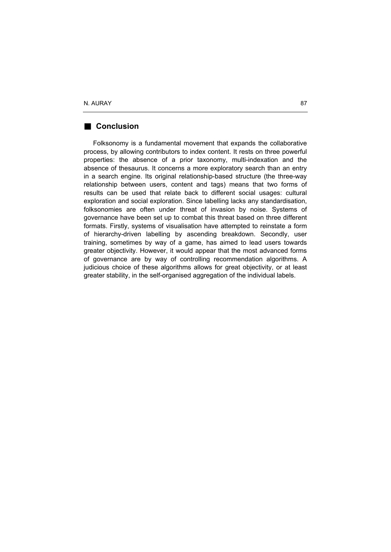# **Conclusion**

Folksonomy is a fundamental movement that expands the collaborative process, by allowing contributors to index content. It rests on three powerful properties: the absence of a prior taxonomy, multi-indexation and the absence of thesaurus. It concerns a more exploratory search than an entry in a search engine. Its original relationship-based structure (the three-way relationship between users, content and tags) means that two forms of results can be used that relate back to different social usages: cultural exploration and social exploration. Since labelling lacks any standardisation, folksonomies are often under threat of invasion by noise. Systems of governance have been set up to combat this threat based on three different formats. Firstly, systems of visualisation have attempted to reinstate a form of hierarchy-driven labelling by ascending breakdown. Secondly, user training, sometimes by way of a game, has aimed to lead users towards greater objectivity. However, it would appear that the most advanced forms of governance are by way of controlling recommendation algorithms. A judicious choice of these algorithms allows for great objectivity, or at least greater stability, in the self-organised aggregation of the individual labels.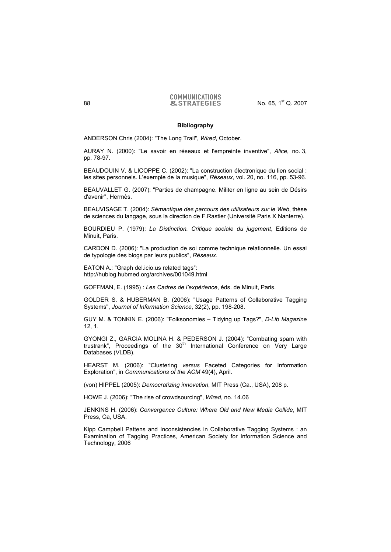#### **Bibliography**

ANDERSON Chris (2004): "The Long Trail", *Wired*, October.

AURAY N. (2000): "Le savoir en réseaux et l'empreinte inventive", *Alice*, no. 3, pp. 78-97.

BEAUDOUIN V. & LICOPPE C. (2002): "La construction électronique du lien social : les sites personnels. L'exemple de la musique", *Réseaux*, vol. 20, no. 116, pp. 53-96.

BEAUVALLET G. (2007): "Parties de champagne. Militer en ligne au sein de Désirs d'avenir", Hermès.

BEAUVISAGE T. (2004): *Sémantique des parcours des utilisateurs sur le Web*, thèse de sciences du langage, sous la direction de F.Rastier (Université Paris X Nanterre).

BOURDIEU P. (1979): *La Distinction. Critique sociale du jugement*, Editions de Minuit, Paris.

CARDON D. (2006): "La production de soi comme technique relationnelle. Un essai de typologie des blogs par leurs publics", *Réseaux*.

EATON A.: "Graph del.icio.us related tags": http://hublog.hubmed.org/archives/001049.html

GOFFMAN, E. (1995) : *Les Cadres de l'expérience*, éds. de Minuit, Paris.

GOLDER S. & HUBERMAN B. (2006): "Usage Patterns of Collaborative Tagging Systems", *Journal of Information Science*, 32(2), pp. 198-208.

GUY M. & TONKIN E. (2006): "Folksonomies – Tidying up Tags?", *D-Lib Magazine* 12, 1.

GYONGI Z., GARCIA MOLINA H. & PEDERSON J. (2004): "Combating spam with trustrank", Proceedings of the 30<sup>th</sup> International Conference on Very Large Databases (VLDB).

HEARST M. (2006): "Clustering *versus* Faceted Categories for Information Exploration", in *Communications of the ACM* 49(4), April.

(von) HIPPEL (2005): *Democratizing innovation*, MIT Press (Ca., USA), 208 p.

HOWE J. (2006): "The rise of crowdsourcing", *Wired*, no. 14.06

JENKINS H. (2006): *Convergence Culture: Where Old and New Media Collide*, MIT Press, Ca, USA.

Kipp Campbell Pattens and Inconsistencies in Collaborative Tagging Systems : an Examination of Tagging Practices, American Society for Information Science and Technology, 2006